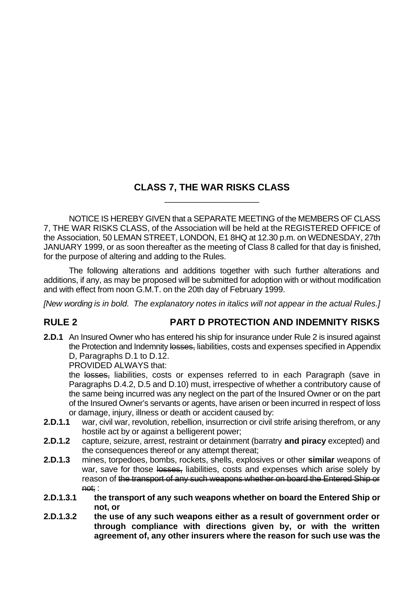## **CLASS 7, THE WAR RISKS CLASS** \_\_\_\_\_\_\_\_\_\_\_\_\_\_\_\_\_\_\_\_

NOTICE IS HEREBY GIVEN that a SEPARATE MEETING of the MEMBERS OF CLASS 7, THE WAR RISKS CLASS, of the Association will be held at the REGISTERED OFFICE of the Association, 50 LEMAN STREET, LONDON, E1 8HQ at 12.30 p.m. on WEDNESDAY, 27th JANUARY 1999, or as soon thereafter as the meeting of Class 8 called for that day is finished, for the purpose of altering and adding to the Rules.

The following alterations and additions together with such further alterations and additions, if any, as may be proposed will be submitted for adoption with or without modification and with effect from noon G.M.T. on the 20th day of February 1999.

*[New wording is in bold. The explanatory notes in italics will not appear in the actual Rules.]*

## **RULE 2 PART D PROTECTION AND INDEMNITY RISKS**

**2.D.1** An Insured Owner who has entered his ship for insurance under Rule 2 is insured against the Protection and Indemnity losses, liabilities, costs and expenses specified in Appendix D, Paragraphs D.1 to D.12.

PROVIDED ALWAYS that:

the losses, liabilities, costs or expenses referred to in each Paragraph (save in Paragraphs D.4.2, D.5 and D.10) must, irrespective of whether a contributory cause of the same being incurred was any neglect on the part of the Insured Owner or on the part of the Insured Owner's servants or agents, have arisen or been incurred in respect of loss or damage, injury, illness or death or accident caused by:

- **2.D.1.1** war, civil war, revolution, rebellion, insurrection or civil strife arising therefrom, or any hostile act by or against a belligerent power;
- **2.D.1.2** capture, seizure, arrest, restraint or detainment (barratry **and piracy** excepted) and the consequences thereof or any attempt thereat;
- **2.D.1.3** mines, torpedoes, bombs, rockets, shells, explosives or other **similar** weapons of war, save for those losses, liabilities, costs and expenses which arise solely by reason of the transport of any such weapons whether on board the Entered Ship or not; :
- **2.D.1.3.1 the transport of any such weapons whether on board the Entered Ship or not, or**
- **2.D.1.3.2 the use of any such weapons either as a result of government order or through compliance with directions given by, or with the written agreement of, any other insurers where the reason for such use was the**